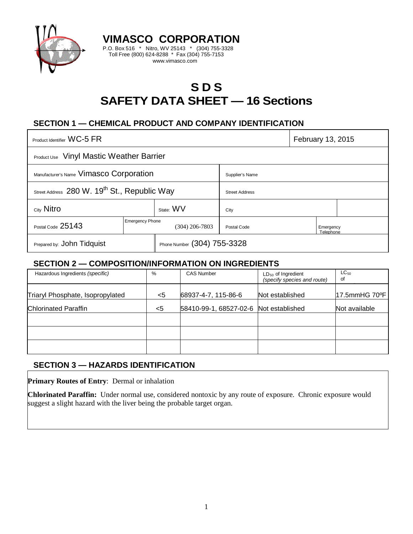

# **S D S SAFETY DATA SHEET — 16 Sections**

# **SECTION 1 — CHEMICAL PRODUCT AND COMPANY IDENTIFICATION**

**VIMASCO CORPORATION** P.O. Box 516 \* Nitro, WV 25143 \* (304) 755-3328 Toll Free (800) 624-8288 \* Fax (304) 755-7153 www.vimasco.com

| Product Identifier WC-5 FR                               |                        |                             |                       | February 13, 2015      |  |
|----------------------------------------------------------|------------------------|-----------------------------|-----------------------|------------------------|--|
| <b>Product Use</b> Vinyl Mastic Weather Barrier          |                        |                             |                       |                        |  |
| Manufacturer's Name Vimasco Corporation                  |                        |                             | Supplier's Name       |                        |  |
| Street Address 280 W. 19 <sup>th</sup> St., Republic Way |                        |                             | <b>Street Address</b> |                        |  |
| City Nitro                                               |                        | State: WV                   | City                  |                        |  |
| Postal Code 25143                                        | <b>Emergency Phone</b> | $(304)$ 206-7803            | Postal Code           | Emergency<br>Telephone |  |
| Prepared by: John Tidquist                               |                        | Phone Number (304) 755-3328 |                       |                        |  |

#### **SECTION 2 — COMPOSITION/INFORMATION ON INGREDIENTS**

| Hazardous Ingredients (specific) | %     | <b>CAS Number</b>                      | $LD_{50}$ of Ingredient<br>(specify species and route) | $LC_{50}$<br>of |
|----------------------------------|-------|----------------------------------------|--------------------------------------------------------|-----------------|
| Triaryl Phosphate, Isopropylated | <5    | 68937-4-7, 115-86-6                    | Not established                                        | 17.5mmHG 70°F   |
| Chlorinated Paraffin             | $<$ 5 | 58410-99-1, 68527-02-6 Not established |                                                        | Not available   |
|                                  |       |                                        |                                                        |                 |
|                                  |       |                                        |                                                        |                 |
|                                  |       |                                        |                                                        |                 |

### **SECTION 3 — HAZARDS IDENTIFICATION**

**Primary Routes of Entry**: Dermal or inhalation

**Chlorinated Paraffin:** Under normal use, considered nontoxic by any route of exposure. Chronic exposure would suggest a slight hazard with the liver being the probable target organ.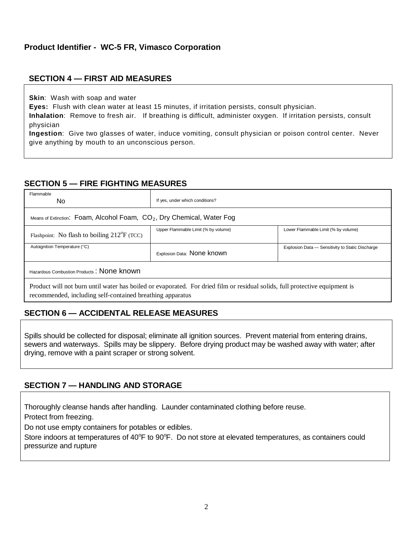#### **SECTION 4 — FIRST AID MEASURES**

**Skin**: Wash with soap and water

**Eyes:** Flush with clean water at least 15 minutes, if irritation persists, consult physician.

**Inhalation**: Remove to fresh air. If breathing is difficult, administer oxygen. If irritation persists, consult physician

**Ingestion**: Give two glasses of water, induce vomiting, consult physician or poison control center. Never give anything by mouth to an unconscious person.

## **SECTION 5 — FIRE FIGHTING MEASURES**

| Flammable<br>No.                                                                                                                                                                         | If yes, under which conditions?     |                                                  |  |  |  |  |
|------------------------------------------------------------------------------------------------------------------------------------------------------------------------------------------|-------------------------------------|--------------------------------------------------|--|--|--|--|
| Means of Extinction: Foam, Alcohol Foam, $CO2$ , Dry Chemical, Water Fog                                                                                                                 |                                     |                                                  |  |  |  |  |
| Flashpoint: No flash to boiling $212^{\circ}F$ (TCC)                                                                                                                                     | Upper Flammable Limit (% by volume) | Lower Flammable Limit (% by volume)              |  |  |  |  |
| Autoignition Temperature (°C)                                                                                                                                                            | Explosion Data: None known          | Explosion Data - Sensitivity to Static Discharge |  |  |  |  |
| Hazardous Combustion Products: None known                                                                                                                                                |                                     |                                                  |  |  |  |  |
| Product will not burn until water has boiled or evaporated. For dried film or residual solids, full protective equipment is<br>recommended, including self-contained breathing apparatus |                                     |                                                  |  |  |  |  |

# **SECTION 6 — ACCIDENTAL RELEASE MEASURES**

Spills should be collected for disposal; eliminate all ignition sources. Prevent material from entering drains, sewers and waterways. Spills may be slippery. Before drying product may be washed away with water; after drying, remove with a paint scraper or strong solvent.

### **SECTION 7 — HANDLING AND STORAGE**

Thoroughly cleanse hands after handling. Launder contaminated clothing before reuse.

Protect from freezing.

Do not use empty containers for potables or edibles.

Store indoors at temperatures of 40°F to 90°F. Do not store at elevated temperatures, as containers could pressurize and rupture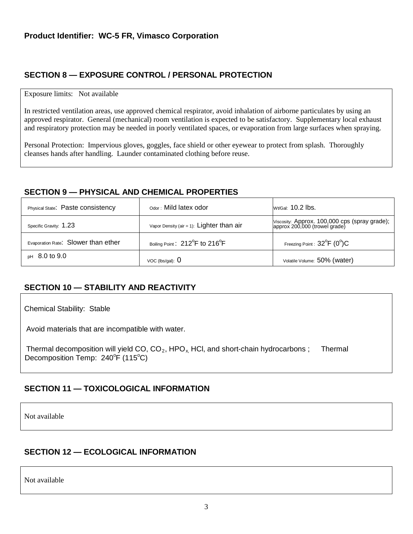# **SECTION 8 — EXPOSURE CONTROL / PERSONAL PROTECTION**

#### Exposure limits: Not available

In restricted ventilation areas, use approved chemical respirator, avoid inhalation of airborne particulates by using an approved respirator. General (mechanical) room ventilation is expected to be satisfactory. Supplementary local exhaust and respiratory protection may be needed in poorly ventilated spaces, or evaporation from large surfaces when spraying.

Personal Protection: Impervious gloves, goggles, face shield or other eyewear to protect from splash. Thoroughly cleanses hands after handling. Launder contaminated clothing before reuse.

### **SECTION 9 — PHYSICAL AND CHEMICAL PROPERTIES**

| Physical State: Paste consistency   | Odor: Mild latex odor                                   | Wt/Gal: 10.2 lbs.                                                              |
|-------------------------------------|---------------------------------------------------------|--------------------------------------------------------------------------------|
| Specific Gravity: 1.23              | Vapor Density (air = 1): $Lighter than air$             | Viscosity: Approx. 100,000 cps (spray grade);<br>approx 200,000 (trowel grade) |
| Evaporation Rate: Slower than ether | Boiling Point: 212 <sup>°</sup> F to 216 <sup>°</sup> F | Freezing Point : $32^{\circ}F$ (0 $^{\circ}$ )C                                |
| $pH$ 8.0 to 9.0                     | VOC (lbs/qal): $\theta$                                 | Volatile Volume: 50% (water)                                                   |

# **SECTION 10 — STABILITY AND REACTIVITY**

Chemical Stability: Stable

Avoid materials that are incompatible with water.

Thermal decomposition will yield  $CO$ ,  $CO<sub>2</sub>$ , HPO<sub>x</sub>, HCl, and short-chain hydrocarbons ; Thermal Decomposition Temp: 240°F (115°C)

# **SECTION 11 — TOXICOLOGICAL INFORMATION**

Not available

### **SECTION 12 — ECOLOGICAL INFORMATION**

Not available